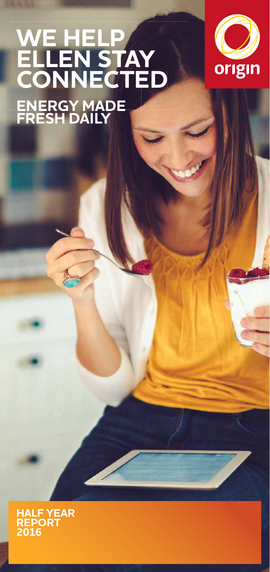# **WE HELP ELLEN STAY CONNECTED ENERGY MADE FRESH DAILY**



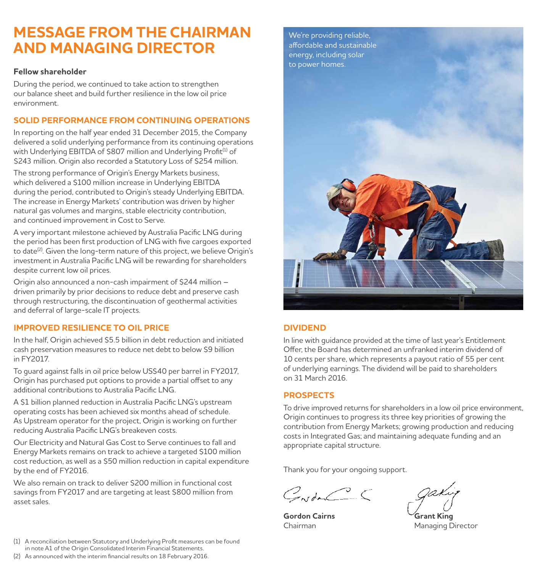### **MESSAGE FROM THE CHAIRMAN AND MANAGING DIRECTOR**

#### **Fellow shareholder**

During the period, we continued to take action to strengthen our balance sheet and build further resilience in the low oil price environment.

#### **SOLID PERFORMANCE FROM CONTINUING OPERATIONS**

In reporting on the half year ended 31 December 2015, the Company delivered a solid underlying performance from its continuing operations with Underlying EBITDA of \$807 million and Underlying Profit<sup>(1)</sup> of \$243 million. Origin also recorded a Statutory Loss of \$254 million.

The strong performance of Origin's Energy Markets business, which delivered a \$100 million increase in Underlying EBITDA during the period, contributed to Origin's steady Underlying EBITDA. The increase in Energy Markets' contribution was driven by higher natural gas volumes and margins, stable electricity contribution, and continued improvement in Cost to Serve.

A very important milestone achieved by Australia Pacific LNG during the period has been first production of LNG with five cargoes exported to date<sup>(2)</sup>. Given the long-term nature of this project, we believe Origin's investment in Australia Pacific LNG will be rewarding for shareholders despite current low oil prices.

Origin also announced a non-cash impairment of \$244 million – driven primarily by prior decisions to reduce debt and preserve cash through restructuring, the discontinuation of geothermal activities and deferral of large-scale IT projects.

#### **IMPROVED RESILIENCE TO OIL PRICE**

In the half, Origin achieved \$5.5 billion in debt reduction and initiated cash preservation measures to reduce net debt to below \$9 billion in FY2017.

To guard against falls in oil price below US\$40 per barrel in FY2017, Origin has purchased put options to provide a partial offset to any additional contributions to Australia Pacific LNG.

A \$1 billion planned reduction in Australia Pacific LNG's upstream operating costs has been achieved six months ahead of schedule. As Upstream operator for the project, Origin is working on further reducing Australia Pacific LNG's breakeven costs.

Our Electricity and Natural Gas Cost to Serve continues to fall and Energy Markets remains on track to achieve a targeted \$100 million cost reduction, as well as a \$50 million reduction in capital expenditure by the end of FY2016.

We also remain on track to deliver \$200 million in functional cost savings from FY2017 and are targeting at least \$800 million from asset sales.

- (1) A reconciliation between Statutory and Underlying Profi t measures can be found in note A1 of the Origin Consolidated Interim Financial Statements.
- (2) As announced with the interim financial results on 18 February 2016.



#### **DIVIDEND**

In line with guidance provided at the time of last year's Entitlement Offer, the Board has determined an unfranked interim dividend of 10 cents per share, which represents a payout ratio of 55 per cent of underlying earnings. The dividend will be paid to shareholders on 31 March 2016.

#### **PROSPECTS**

To drive improved returns for shareholders in a low oil price environment, Origin continues to progress its three key priorities of growing the contribution from Energy Markets; growing production and reducing costs in Integrated Gas; and maintaining adequate funding and an appropriate capital structure.

Thank you for your ongoing support.

 $G_{\mathcal{N}}$ da  $C \subset$ 

**Gordon Cairns Grant King**<br>Chairman Managing C

Managing Director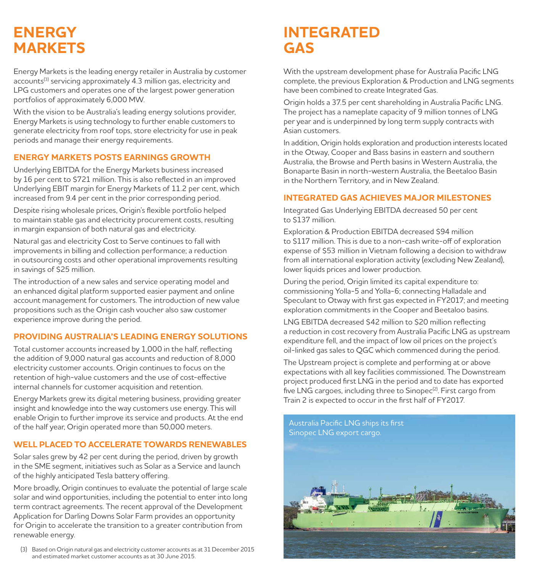## **ENERGY MARKETS**

Energy Markets is the leading energy retailer in Australia by customer accounts<sup>(3)</sup> servicing approximately 4.3 million gas, electricity and LPG customers and operates one of the largest power generation portfolios of approximately 6,000 MW.

With the vision to be Australia's leading energy solutions provider, Energy Markets is using technology to further enable customers to generate electricity from roof tops, store electricity for use in peak periods and manage their energy requirements.

#### **ENERGY MARKETS POSTS EARNINGS GROWTH**

Underlying EBITDA for the Energy Markets business increased by 16 per cent to \$721 million. This is also reflected in an improved Underlying EBIT margin for Energy Markets of 11.2 per cent, which increased from 9.4 per cent in the prior corresponding period.

Despite rising wholesale prices, Origin's flexible portfolio helped to maintain stable gas and electricity procurement costs, resulting in margin expansion of both natural gas and electricity.

Natural gas and electricity Cost to Serve continues to fall with improvements in billing and collection performance; a reduction in outsourcing costs and other operational improvements resulting in savings of \$25 million.

The introduction of a new sales and service operating model and an enhanced digital platform supported easier payment and online account management for customers. The introduction of new value propositions such as the Origin cash voucher also saw customer experience improve during the period.

#### **PROVIDING AUSTRALIA'S LEADING ENERGY SOLUTIONS**

Total customer accounts increased by 1,000 in the half, reflecting the addition of 9,000 natural gas accounts and reduction of 8,000 electricity customer accounts. Origin continues to focus on the retention of high-value customers and the use of cost-effective internal channels for customer acquisition and retention.

Energy Markets grew its digital metering business, providing greater insight and knowledge into the way customers use energy. This will enable Origin to further improve its service and products. At the end of the half year, Origin operated more than 50,000 meters.

### **WELL PLACED TO ACCELERATE TOWARDS RENEWABLES**

Solar sales grew by 42 per cent during the period, driven by growth in the SME segment, initiatives such as Solar as a Service and launch of the highly anticipated Tesla battery offering.

More broadly, Origin continues to evaluate the potential of large scale solar and wind opportunities, including the potential to enter into long term contract agreements. The recent approval of the Development Application for Darling Downs Solar Farm provides an opportunity for Origin to accelerate the transition to a greater contribution from renewable energy.

(3) Based on Origin natural gas and electricity customer accounts as at 31 December 2015 and estimated market customer accounts as at 30 June 2015.

## **INTEGRATED GAS**

With the upstream development phase for Australia Pacific LNG complete, the previous Exploration & Production and LNG segments have been combined to create Integrated Gas.

Origin holds a 37.5 per cent shareholding in Australia Pacific LNG. The project has a nameplate capacity of 9 million tonnes of LNG per year and is underpinned by long term supply contracts with Asian customers.

In addition, Origin holds exploration and production interests located in the Otway, Cooper and Bass basins in eastern and southern Australia, the Browse and Perth basins in Western Australia, the Bonaparte Basin in north-western Australia, the Beetaloo Basin in the Northern Territory, and in New Zealand.

### **INTEGRATED GAS ACHIEVES MAJOR MILESTONES**

Integrated Gas Underlying EBITDA decreased 50 per cent to \$137 million.

Exploration & Production EBITDA decreased \$94 million to \$117 million. This is due to a non-cash write-off of exploration expense of \$53 million in Vietnam following a decision to withdraw from all international exploration activity (excluding New Zealand), lower liquids prices and lower production.

During the period, Origin limited its capital expenditure to: commissioning Yolla-5 and Yolla-6; connecting Halladale and Speculant to Otway with first gas expected in FY2017; and meeting exploration commitments in the Cooper and Beetaloo basins.

LNG EBITDA decreased \$42 million to \$20 million reflecting a reduction in cost recovery from Australia Pacific LNG as upstream expenditure fell, and the impact of low oil prices on the project's oil-linked gas sales to QGC which commenced during the period.

The Upstream project is complete and performing at or above expectations with all key facilities commissioned. The Downstream project produced first LNG in the period and to date has exported five LNG cargoes, including three to Sinopec<sup>(2)</sup>. First cargo from Train 2 is expected to occur in the first half of FY2017.

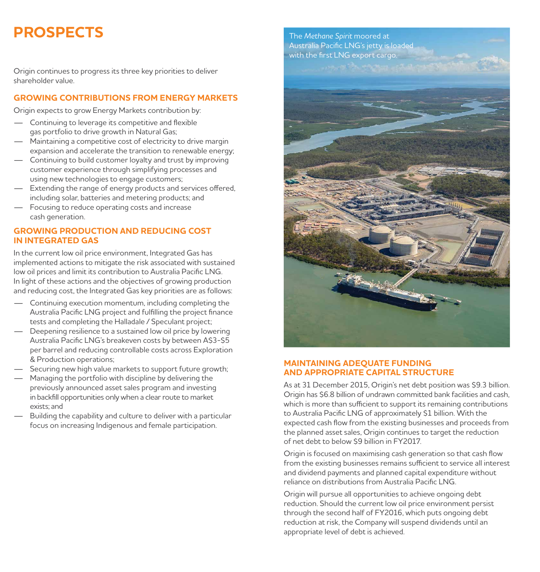## **PROSPECTS**

Origin continues to progress its three key priorities to deliver shareholder value.

#### **GROWING CONTRIBUTIONS FROM ENERGY MARKETS**

Origin expects to grow Energy Markets contribution by:

- Continuing to leverage its competitive and flexible gas portfolio to drive growth in Natural Gas;
- Maintaining a competitive cost of electricity to drive margin expansion and accelerate the transition to renewable energy;
- Continuing to build customer loyalty and trust by improving customer experience through simplifying processes and using new technologies to engage customers;
- $-$  Extending the range of energy products and services offered, including solar, batteries and metering products; and
- Focusing to reduce operating costs and increase cash generation.

#### **GROWING PRODUCTION AND REDUCING COST IN INTEGRATED GAS**

In the current low oil price environment, Integrated Gas has implemented actions to mitigate the risk associated with sustained low oil prices and limit its contribution to Australia Pacific LNG. In light of these actions and the objectives of growing production and reducing cost, the Integrated Gas key priorities are as follows:

- Continuing execution momentum, including completing the Australia Pacific LNG project and fulfilling the project finance tests and completing the Halladale / Speculant project;
- Deepening resilience to a sustained low oil price by lowering Australia Pacific LNG's breakeven costs by between A\$3-\$5 per barrel and reducing controllable costs across Exploration & Production operations;
- Securing new high value markets to support future growth;
- Managing the portfolio with discipline by delivering the previously announced asset sales program and investing in backfill opportunities only when a clear route to market exists; and
- Building the capability and culture to deliver with a particular focus on increasing Indigenous and female participation.



#### **MAINTAINING ADEQUATE FUNDING AND APPROPRIATE CAPITAL STRUCTURE**

As at 31 December 2015, Origin's net debt position was \$9.3 billion. Origin has \$6.8 billion of undrawn committed bank facilities and cash, which is more than sufficient to support its remaining contributions to Australia Pacific LNG of approximately \$1 billion. With the expected cash flow from the existing businesses and proceeds from the planned asset sales, Origin continues to target the reduction of net debt to below \$9 billion in FY2017.

Origin is focused on maximising cash generation so that cash flow from the existing businesses remains sufficient to service all interest and dividend payments and planned capital expenditure without reliance on distributions from Australia Pacific LNG.

Origin will pursue all opportunities to achieve ongoing debt reduction. Should the current low oil price environment persist through the second half of FY2016, which puts ongoing debt reduction at risk, the Company will suspend dividends until an appropriate level of debt is achieved.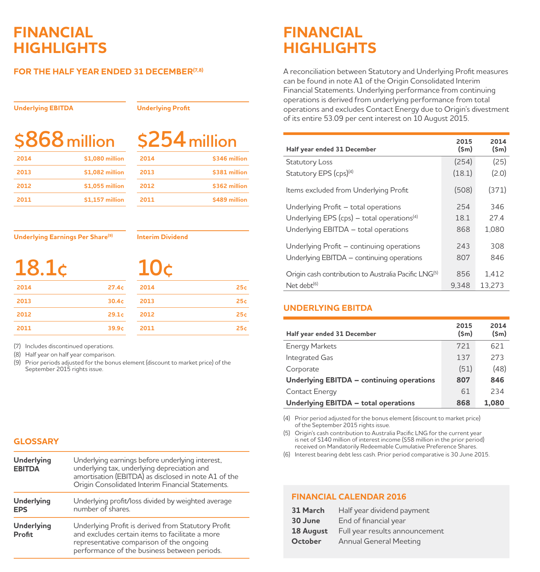### **FINANCIAL HIGHLIGHTS**

#### **FOR THE HALF YEAR ENDED 31 DECEMBER(7,8)**

#### **Underlying EBITDA**

**Underlying Profit**

# **\$868million**

| 4 million |  |
|-----------|--|
|           |  |

| 2014 | \$1,080 million |
|------|-----------------|
| 2013 | \$1,082 million |
| 2012 | \$1,055 million |
| 2011 | \$1.157 million |

| 2014 | \$346 million |
|------|---------------|
| 2013 | \$381 million |
| 2012 | \$362 million |
| 2011 | \$489 million |

**2014 25¢ 2013 25¢ 2012 25¢ 2011 25¢**

**Underlying Earnings Per Share(9)**

**Interim Dividend**

**10¢**

|--|

| 2014 | 27.4c |
|------|-------|
| 2013 | 30.4c |
| 2012 | 29.1c |
| 2011 | 39.9c |

(7) Includes discontinued operations.

(8) Half year on half year comparison.

(9) Prior periods adjusted for the bonus element (discount to market price) of the September 2015 rights issue.

#### **GLOSSARY**

| Underlying<br><b>EBITDA</b>     | Underlying earnings before underlying interest,<br>underlying tax, underlying depreciation and<br>amortisation (EBITDA) as disclosed in note A1 of the<br>Origin Consolidated Interim Financial Statements. |
|---------------------------------|-------------------------------------------------------------------------------------------------------------------------------------------------------------------------------------------------------------|
| <b>Underlying</b><br><b>EPS</b> | Underlying profit/loss divided by weighted average<br>number of shares.                                                                                                                                     |
| Underlying<br><b>Profit</b>     | Underlying Profit is derived from Statutory Profit<br>and excludes certain items to facilitate a more<br>representative comparison of the ongoing<br>performance of the business between periods.           |

### **FINANCIAL HIGHLIGHTS**

A reconciliation between Statutory and Underlying Profit measures can be found in note A1 of the Origin Consolidated Interim Financial Statements. Underlying performance from continuing operations is derived from underlying performance from total operations and excludes Contact Energy due to Origin's divestment of its entire 53.09 per cent interest on 10 August 2015.

| Half year ended 31 December                                      | 2015<br>(Sm) | 2014<br>$(\mathsf{Sm})$ |
|------------------------------------------------------------------|--------------|-------------------------|
| Statutory Loss                                                   | (254)        | (25)                    |
| Statutory EPS (cps) <sup>(4)</sup>                               | (18.1)       | (2.0)                   |
| Items excluded from Underlying Profit                            | (508)        | (371)                   |
| Underlying Profit - total operations                             | 254          | 346                     |
| Underlying EPS (cps) $-$ total operations <sup>(4)</sup>         | 18.1         | 27.4                    |
| Underlying EBITDA - total operations                             | 868          | 1.080                   |
| Underlying Profit - continuing operations                        | 243          | 308                     |
| Underlying EBITDA - continuing operations                        | 807          | 846                     |
| Origin cash contribution to Australia Pacific LNG <sup>(5)</sup> | 856          | 1.412                   |
| Net debt $^{(6)}$                                                | 9.348        | 13.273                  |

#### **UNDERLYING EBITDA**

| Half year ended 31 December               | 2015<br>(Sm) | 2014<br>$(\mathsf{Sm})$ |
|-------------------------------------------|--------------|-------------------------|
| <b>Energy Markets</b>                     | 721          | 621                     |
| Integrated Gas                            | 137          | 273                     |
| Corporate                                 | (51)         | (48)                    |
| Underlying EBITDA - continuing operations | 807          | 846                     |
| Contact Energy                            | 61           | 234                     |
| Underlying EBITDA - total operations      | 868          | 1.080                   |

(4) Prior period adjusted for the bonus element (discount to market price) of the September 2015 rights issue.

(5) Origin's cash contribution to Australia Pacific LNG for the current year is net of \$140 million of interest income (\$58 million in the prior period) received on Mandatorily Redeemable Cumulative Preference Shares.

(6) Interest bearing debt less cash. Prior period comparative is 30 June 2015.

#### **FINANCIAL CALENDAR 2016**

| 31 March  | Half year dividend payment     |
|-----------|--------------------------------|
| 30 June   | End of financial year          |
| 18 August | Full year results announcement |
| October   | Annual General Meeting         |